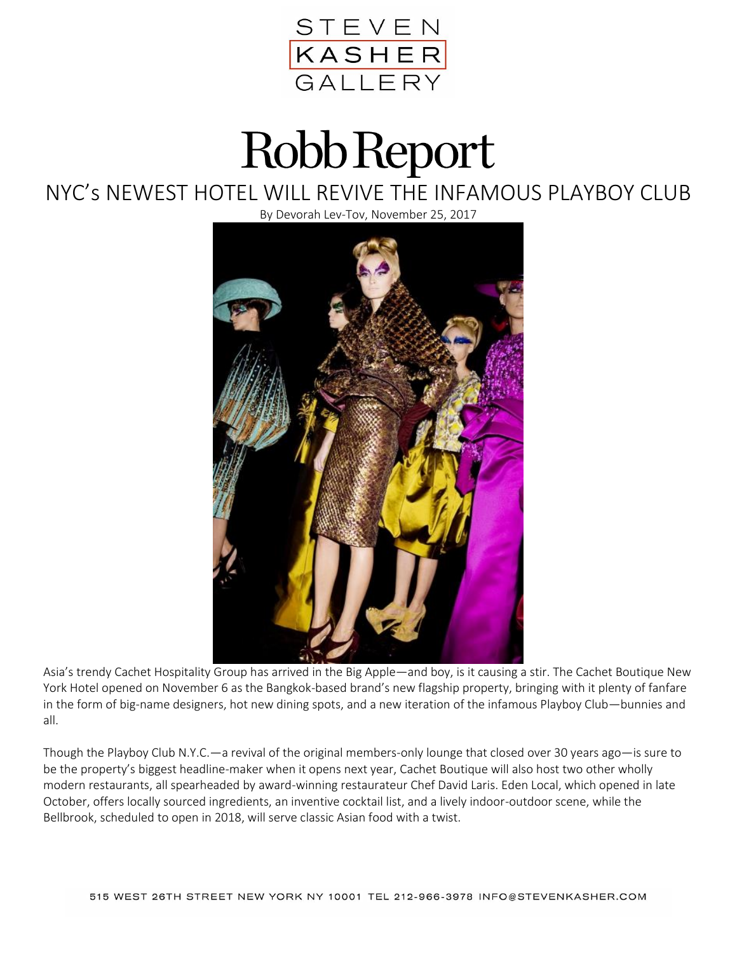

## Robb Report

## NYC's NEWEST HOTEL WILL REVIVE THE INFAMOUS PLAYBOY CLUB

By Devorah Lev-Tov, November 25, 2017



Asia's trendy Cachet Hospitality Group has arrived in the Big Apple—and boy, is it causing a stir. The Cachet Boutique New York Hotel opened on November 6 as the Bangkok-based brand's new flagship property, bringing with it plenty of fanfare in the form of big-name designers, hot new dining spots, and a new iteration of the infamous Playboy Club—bunnies and all.

Though the Playboy Club N.Y.C.—a revival of the original members-only lounge that closed over 30 years ago—is sure to be the property's biggest headline-maker when it opens next year, Cachet Boutique will also host two other wholly modern restaurants, all spearheaded by award-winning restaurateur Chef David Laris. Eden Local, which opened in late October, offers locally sourced ingredients, an inventive cocktail list, and a lively indoor-outdoor scene, while the Bellbrook, scheduled to open in 2018, will serve classic Asian food with a twist.